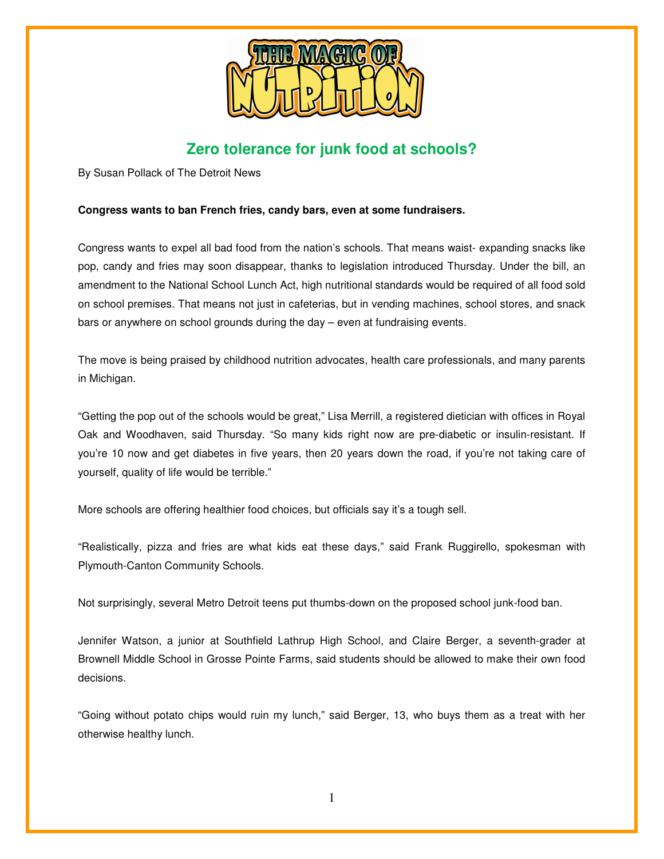

# **Zero tolerance for junk food at schools?**

By Susan Pollack of The Detroit News

## **Congress wants to ban French fries, candy bars, even at some fundraisers.**

Congress wants to expel all bad food from the nation's schools. That means waist- expanding snacks like pop, candy and fries may soon disappear, thanks to legislation introduced Thursday. Under the bill, an amendment to the National School Lunch Act, high nutritional standards would be required of all food sold on school premises. That means not just in cafeterias, but in vending machines, school stores, and snack bars or anywhere on school grounds during the day – even at fundraising events.

The move is being praised by childhood nutrition advocates, health care professionals, and many parents in Michigan.

"Getting the pop out of the schools would be great," Lisa Merrill, a registered dietician with offices in Royal Oak and Woodhaven, said Thursday. "So many kids right now are pre-diabetic or insulin-resistant. If you're 10 now and get diabetes in five years, then 20 years down the road, if you're not taking care of yourself, quality of life would be terrible."

More schools are offering healthier food choices, but officials say it's a tough sell.

"Realistically, pizza and fries are what kids eat these days," said Frank Ruggirello, spokesman with Plymouth-Canton Community Schools.

Not surprisingly, several Metro Detroit teens put thumbs-down on the proposed school junk-food ban.

Jennifer Watson, a junior at Southfield Lathrup High School, and Claire Berger, a seventh-grader at Brownell Middle School in Grosse Pointe Farms, said students should be allowed to make their own food decisions.

"Going without potato chips would ruin my lunch," said Berger, 13, who buys them as a treat with her otherwise healthy lunch.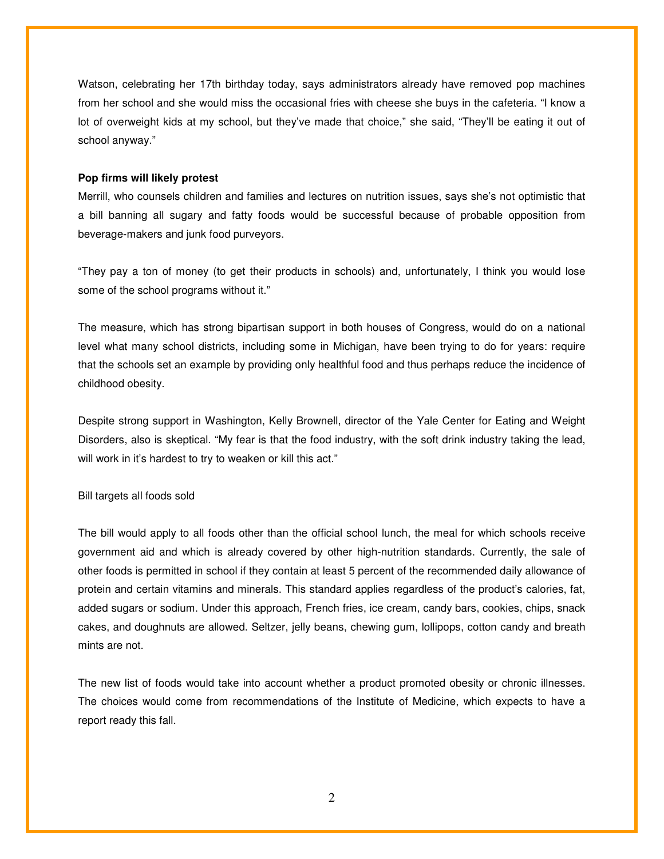Watson, celebrating her 17th birthday today, says administrators already have removed pop machines from her school and she would miss the occasional fries with cheese she buys in the cafeteria. "I know a lot of overweight kids at my school, but they've made that choice," she said, "They'll be eating it out of school anyway."

#### **Pop firms will likely protest**

Merrill, who counsels children and families and lectures on nutrition issues, says she's not optimistic that a bill banning all sugary and fatty foods would be successful because of probable opposition from beverage-makers and junk food purveyors.

"They pay a ton of money (to get their products in schools) and, unfortunately, I think you would lose some of the school programs without it."

The measure, which has strong bipartisan support in both houses of Congress, would do on a national level what many school districts, including some in Michigan, have been trying to do for years: require that the schools set an example by providing only healthful food and thus perhaps reduce the incidence of childhood obesity.

Despite strong support in Washington, Kelly Brownell, director of the Yale Center for Eating and Weight Disorders, also is skeptical. "My fear is that the food industry, with the soft drink industry taking the lead, will work in it's hardest to try to weaken or kill this act."

#### Bill targets all foods sold

The bill would apply to all foods other than the official school lunch, the meal for which schools receive government aid and which is already covered by other high-nutrition standards. Currently, the sale of other foods is permitted in school if they contain at least 5 percent of the recommended daily allowance of protein and certain vitamins and minerals. This standard applies regardless of the product's calories, fat, added sugars or sodium. Under this approach, French fries, ice cream, candy bars, cookies, chips, snack cakes, and doughnuts are allowed. Seltzer, jelly beans, chewing gum, lollipops, cotton candy and breath mints are not.

The new list of foods would take into account whether a product promoted obesity or chronic illnesses. The choices would come from recommendations of the Institute of Medicine, which expects to have a report ready this fall.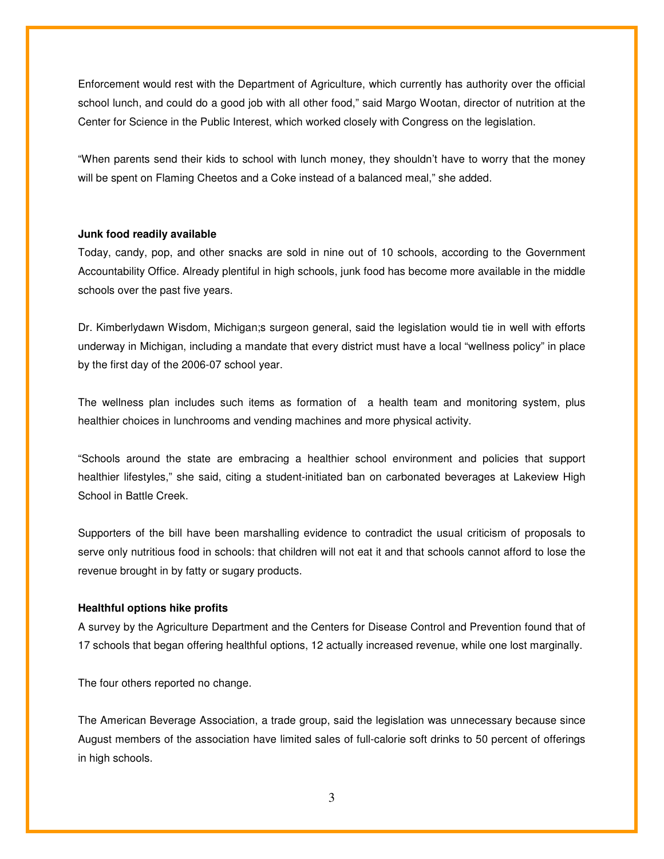Enforcement would rest with the Department of Agriculture, which currently has authority over the official school lunch, and could do a good job with all other food," said Margo Wootan, director of nutrition at the Center for Science in the Public Interest, which worked closely with Congress on the legislation.

"When parents send their kids to school with lunch money, they shouldn't have to worry that the money will be spent on Flaming Cheetos and a Coke instead of a balanced meal," she added.

#### **Junk food readily available**

Today, candy, pop, and other snacks are sold in nine out of 10 schools, according to the Government Accountability Office. Already plentiful in high schools, junk food has become more available in the middle schools over the past five years.

Dr. Kimberlydawn Wisdom, Michigan;s surgeon general, said the legislation would tie in well with efforts underway in Michigan, including a mandate that every district must have a local "wellness policy" in place by the first day of the 2006-07 school year.

The wellness plan includes such items as formation of a health team and monitoring system, plus healthier choices in lunchrooms and vending machines and more physical activity.

"Schools around the state are embracing a healthier school environment and policies that support healthier lifestyles," she said, citing a student-initiated ban on carbonated beverages at Lakeview High School in Battle Creek.

Supporters of the bill have been marshalling evidence to contradict the usual criticism of proposals to serve only nutritious food in schools: that children will not eat it and that schools cannot afford to lose the revenue brought in by fatty or sugary products.

### **Healthful options hike profits**

A survey by the Agriculture Department and the Centers for Disease Control and Prevention found that of 17 schools that began offering healthful options, 12 actually increased revenue, while one lost marginally.

The four others reported no change.

The American Beverage Association, a trade group, said the legislation was unnecessary because since August members of the association have limited sales of full-calorie soft drinks to 50 percent of offerings in high schools.